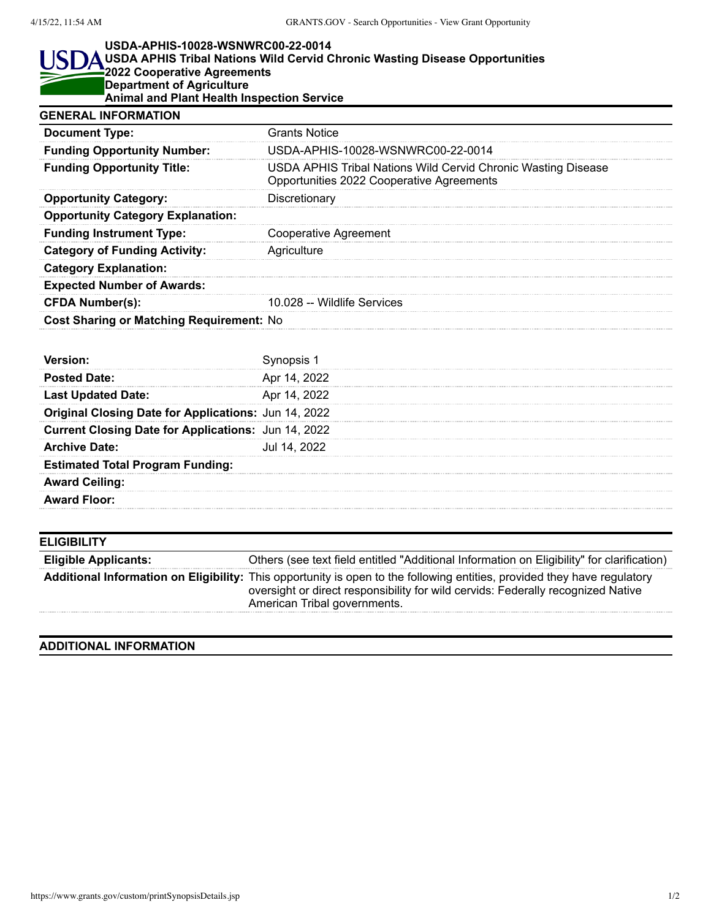## **USDA-APHIS-10028-WSNWRC00-22-0014**

## I ISI **USDA APHIS Tribal Nations Wild Cervid Chronic Wasting Disease Opportunities 2022 Cooperative Agreements Department of Agriculture Animal and Plant Health Inspection Service GENERAL INFORMATION**

| UCNCRAL INFURMATIUN                             |                                                                                                            |
|-------------------------------------------------|------------------------------------------------------------------------------------------------------------|
| <b>Document Type:</b>                           | <b>Grants Notice</b>                                                                                       |
| <b>Funding Opportunity Number:</b>              | USDA-APHIS-10028-WSNWRC00-22-0014                                                                          |
| <b>Funding Opportunity Title:</b>               | USDA APHIS Tribal Nations Wild Cervid Chronic Wasting Disease<br>Opportunities 2022 Cooperative Agreements |
| <b>Opportunity Category:</b>                    | Discretionary                                                                                              |
| <b>Opportunity Category Explanation:</b>        |                                                                                                            |
| <b>Funding Instrument Type:</b>                 | <b>Cooperative Agreement</b>                                                                               |
| <b>Category of Funding Activity:</b>            | Agriculture                                                                                                |
| <b>Category Explanation:</b>                    |                                                                                                            |
| <b>Expected Number of Awards:</b>               |                                                                                                            |
| <b>CFDA Number(s):</b>                          | 10.028 -- Wildlife Services                                                                                |
| <b>Cost Sharing or Matching Requirement: No</b> |                                                                                                            |

| <b>Posted Date:</b>                                         | Apr 14, 2022 |
|-------------------------------------------------------------|--------------|
| <b>Last Updated Date:</b>                                   | Apr 14, 2022 |
| <b>Original Closing Date for Applications: Jun 14, 2022</b> |              |
| <b>Current Closing Date for Applications:</b> Jun 14, 2022  |              |
| <b>Archive Date:</b>                                        | Jul 14, 2022 |
| <b>Estimated Total Program Funding:</b>                     |              |
| <b>Award Ceiling:</b>                                       |              |
| <b>Award Floor:</b>                                         |              |
|                                                             |              |

| <b>ELIGIBILITY</b>          |                                                                                                                                                                                                                                              |
|-----------------------------|----------------------------------------------------------------------------------------------------------------------------------------------------------------------------------------------------------------------------------------------|
| <b>Eligible Applicants:</b> | Others (see text field entitled "Additional Information on Eligibility" for clarification)                                                                                                                                                   |
|                             | Additional Information on Eligibility: This opportunity is open to the following entities, provided they have regulatory<br>oversight or direct responsibility for wild cervids: Federally recognized Native<br>American Tribal governments. |

## **ADDITIONAL INFORMATION**